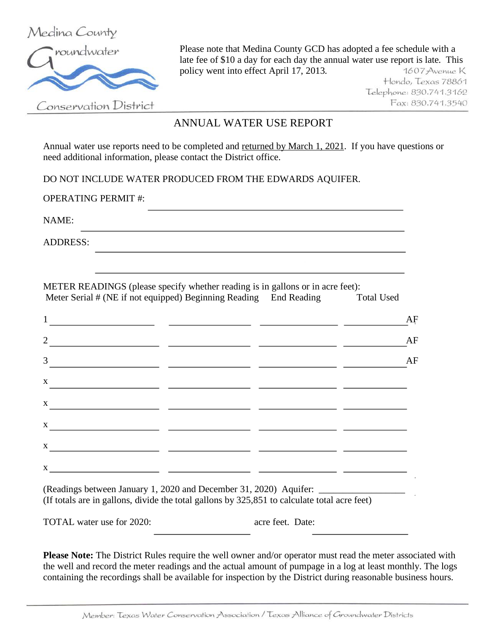

Please note that Medina County GCD has adopted a fee schedule with a late fee of \$10 a day for each day the annual water use report is late. This policy went into effect April 17, 2013. 1607 Avenue K

Hondo, Texas 78861 Telephone: 830.741.3162 Fax: 830.741.3540

Conservation District

## ANNUAL WATER USE REPORT

Annual water use reports need to be completed and returned by March 1, 2021. If you have questions or need additional information, please contact the District office.

DO NOT INCLUDE WATER PRODUCED FROM THE EDWARDS AQUIFER.

OPERATING PERMIT #:

NAME:

ADDRESS:

METER READINGS (please specify whether reading is in gallons or in acre feet): Meter Serial # (NE if not equipped) Beginning Reading End Reading Total Used

| $\mathbf{1}$                                                              |  | $\rm AF$ |
|---------------------------------------------------------------------------|--|----------|
| $\overline{2}$                                                            |  | AF       |
| 3 <sup>7</sup>                                                            |  | AF       |
| $\mathbf X$                                                               |  |          |
| $\mathbf X$                                                               |  |          |
| $\mathbf X$                                                               |  |          |
| $\mathbf{X}$                                                              |  |          |
| $\mathbf X$<br><u> 1989 - John Stein, Amerikaansk politiker (</u> † 1920) |  | ٠        |

(Readings between January 1, 2020 and December 31, 2020) Aquifer: (If totals are in gallons, divide the total gallons by 325,851 to calculate total acre feet)

TOTAL water use for 2020:  $\qquad \qquad \text{acre feet. Date:}$ 

**Please Note:** The District Rules require the well owner and/or operator must read the meter associated with the well and record the meter readings and the actual amount of pumpage in a log at least monthly. The logs containing the recordings shall be available for inspection by the District during reasonable business hours.